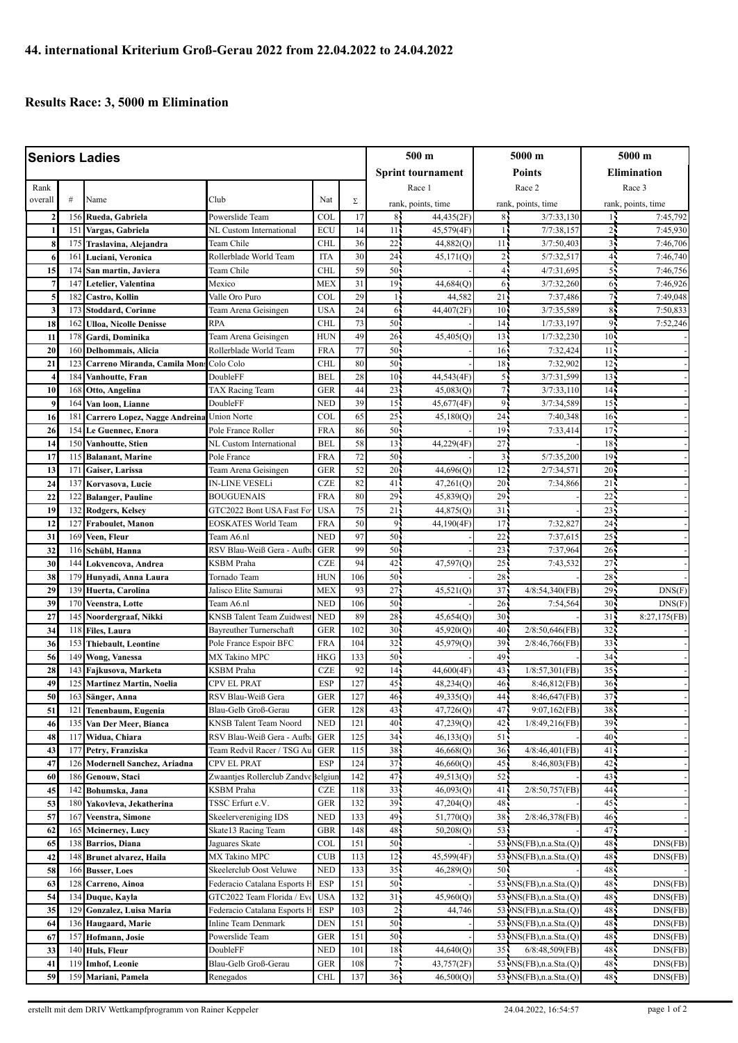## **Results Race: 3, 5000 m Elimination**

| <b>Seniors Ladies</b> |                 |                                             |                                                      |                          |            | 500 m                    |                        | 5000 m                             |                            | 5000 m                             |              |
|-----------------------|-----------------|---------------------------------------------|------------------------------------------------------|--------------------------|------------|--------------------------|------------------------|------------------------------------|----------------------------|------------------------------------|--------------|
|                       |                 |                                             |                                                      |                          |            | <b>Sprint tournament</b> |                        | Points                             |                            | <b>Elimination</b>                 |              |
| Rank                  |                 |                                             |                                                      |                          |            | Race 1                   |                        | Race 2                             |                            | Race 3                             |              |
| overall               | #               | Name                                        | Club                                                 | Nat                      | Σ          | rank, points, time       |                        | rank, points, time                 |                            | rank, points, time                 |              |
| $\overline{2}$        | 156             | Rueda, Gabriela                             | Powerslide Team                                      | <b>COL</b>               | 17         | 85                       | 44,435(2F)             | 84                                 | 3/7:33,130                 | 14                                 | 7:45,792     |
|                       | 15 <sup>2</sup> | Vargas, Gabriela                            | NL Custom International                              | <b>ECU</b>               | 14         | 11                       | 45,579(4F)             | -15                                | 7/7:38,157                 | 25                                 | 7:45,930     |
| 8                     | 175             | Traslavina, Alejandra                       | Team Chile                                           | <b>CHL</b>               | 36         | 22                       | 44,882(Q)              | 11 <sub>1</sub>                    | 3/7:50,403                 | 31                                 | 7:46,706     |
| 6                     | 161             | Luciani, Veronica                           | Rollerblade World Team                               | <b>ITA</b>               | 30         | 24                       | 45,171(Q)              | 2 <sub>1</sub>                     | 5/7:32,517                 | 4 <sub>1</sub>                     | 7:46,740     |
| 15                    | 174             | San martin, Javiera                         | Team Chile                                           | <b>CHL</b>               | 59         | 50                       |                        |                                    | 4/7:31.695                 | 55                                 | 7:46,756     |
| $\overline{7}$        | 147             | Letelier, Valentina                         | Mexico                                               | <b>MEX</b>               | 31         | 19 <sub>1</sub>          | 44,684(Q)              | 6                                  | 3/7:32,260                 | 65                                 | 7:46,926     |
| 5                     | 182             | Castro, Kollin                              | Valle Oro Puro                                       | COL                      | 29         | $\mathbf{1}$             | 44,582                 | 21                                 | 7:37,486                   | 7,                                 | 7:49.048     |
| 3                     | 173             | <b>Stoddard, Corinne</b>                    | Team Arena Geisingen                                 | <b>USA</b>               | 24         | 6                        | 44,407(2F)             | 10 <sup>1</sup>                    | 3/7:35,589                 | 85                                 | 7:50,833     |
| 18                    | 162             | <b>Ulloa, Nicolle Denisse</b>               | <b>RPA</b>                                           | <b>CHL</b>               | 73         | 50                       |                        | 14 <sub>1</sub>                    | 1/7:33,197                 | 95                                 | 7:52,246     |
| 11                    | 178             | Gardi, Dominika                             | Team Arena Geisingen                                 | <b>HUN</b>               | 49         | 26 <sup>1</sup>          | 45,405(Q)              | 13 <sub>1</sub>                    | 1/7:32,230                 | 10 <sup>1</sup>                    |              |
| 20                    | 160             | Delhommais, Alicia                          | Rollerblade World Team                               | <b>FRA</b>               | 77         | 50                       |                        | 16 <sup>1</sup>                    | 7:32,424                   | 11 <sup>1</sup>                    |              |
| 21                    | 123             | Carreno Miranda, Camila Mon:                | Colo Colo                                            | <b>CHL</b>               | 80         | 50                       |                        | 18 <sub>1</sub>                    | 7:32,902                   | 12 <sup>7</sup>                    |              |
| $\overline{4}$        | 184             | Vanhoutte, Fran                             | DoubleFF                                             | <b>BEL</b>               | 28         | 10 <sup>1</sup>          | 44,543(4F)             | 5 <sub>1</sub>                     | 3/7:31,599                 | 13 <sub>1</sub>                    |              |
| 10                    | 168             | Otto, Angelina                              | TAX Racing Team                                      | <b>GER</b>               | 44         | 23                       | 45,083(Q)              | 7 <sub>1</sub>                     | 3/7:33,110                 | 14 <sup>1</sup>                    |              |
| 9                     | 164             | Van loon, Lianne                            | DoubleFF                                             | <b>NED</b>               | 39         | 15                       | 45,677(4F)             | 9                                  | 3/7:34,589                 | 15 <sub>1</sub>                    |              |
| 16                    | 181             | Carrero Lopez, Nagge Andreina Union Norte   | Pole France Roller                                   | COL<br><b>FRA</b>        | 65         | $25^{\circ}$             | 45,180(Q)              | 24                                 | 7:40,348                   | 16 <sup>1</sup><br>17.             |              |
| 26<br>14              | 154<br>150      | Le Guennec, Enora<br>Vanhoutte, Stien       | NL Custom International                              | <b>BEL</b>               | 86<br>58   | 50<br>13                 | 44,229(4F)             | 19 <sup>1</sup><br>27 <sup>1</sup> | 7:33,414                   | 18 <sub>1</sub>                    |              |
| 17                    | 115             | <b>Balanant, Marine</b>                     | Pole France                                          | <b>FRA</b>               | 72         | 50                       |                        | $\overline{3}$                     | 5/7:35,200                 | 19 <sup>7</sup>                    |              |
| 13                    | 171             | Gaiser, Larissa                             | Team Arena Geisingen                                 | <b>GER</b>               | 52         | 20 <sub>1</sub>          | 44,696(O)              | 12                                 | 2/7:34,571                 | $20 -$                             |              |
| 24                    | 137             | Korvasova, Lucie                            | IN-LINE VESELi                                       | <b>CZE</b>               | 82         | 41                       | 47,261(Q)              | 20 <sub>1</sub>                    | 7:34,866                   | $21 -$                             |              |
| 22                    | 122             | <b>Balanger, Pauline</b>                    | <b>BOUGUENAIS</b>                                    | <b>FRA</b>               | 80         | 29                       | 45,839(Q)              | 29                                 |                            | 22                                 |              |
| 19                    | 132             | Rodgers, Kelsey                             | GTC2022 Bont USA Fast For                            | <b>USA</b>               | 75         | 21                       | 44,875(Q)              | 31                                 |                            | 23                                 |              |
| 12                    | 127             | Fraboulet, Manon                            | <b>EOSKATES World Team</b>                           | <b>FRA</b>               | 50         | $\overline{9}$           | 44,190(4F)             | 17                                 | 7:32,82                    | 24                                 |              |
| 31                    | 169             | Veen, Fleur                                 | Team A6.nl                                           | <b>NED</b>               | 97         | 50 <sup>1</sup>          |                        | 22                                 | 7:37,615                   | $25 -$                             |              |
| 32                    | 116             | Schübl, Hanna                               | RSV Blau-Weiß Gera - Aufba                           | <b>GER</b>               | 99         | 50                       |                        | 23                                 | 7:37,964                   | $26 -$                             |              |
| 30                    | 144             | Lokvencova, Andrea                          | KSBM Praha                                           | <b>CZE</b>               | 94         | 42                       | 47,597(Q)              | 25                                 | 7:43,532                   | $27 -$                             |              |
| 38                    | 179             | Hunyadi, Anna Laura                         | Tornado Team                                         | <b>HUN</b>               | 106        | 50 <sub>1</sub>          |                        | 28                                 |                            | $28 -$                             |              |
| 29                    | 139             | Huerta, Carolina                            | Jalisco Elite Samurai                                | <b>MEX</b>               | 93         | 27                       | 45,521(Q)              | 37                                 | 4/8:54,340(FB)             | 29.                                | DNS(F)       |
| 39                    | 170             | Veenstra. Lotte                             | Team A6.nl                                           | <b>NED</b>               | 106        | 50                       |                        | 26 <sup>2</sup>                    | 7:54,564                   | 30 <sup>7</sup>                    | DNS(F)       |
| 27<br>34              | 145<br>118      | Noordergraaf, Nikki                         | KNSB Talent Team Zuidwest<br>Bayreuther Turnerschaft | <b>NED</b><br><b>GER</b> | 89<br>102  | 28<br>30 <sub>1</sub>    | 45,654(Q)<br>45,920(Q) | 30 <sub>1</sub><br>40              | $2/8:50,646$ (FB)          | 31 <sub>1</sub><br>32 <sub>1</sub> | 8:27,175(FB) |
| 36                    | 153             | Files, Laura<br><b>Thiebault</b> , Leontine | Pole France Espoir BFC                               | <b>FRA</b>               | 104        | 32                       | 45,979(Q)              | 39                                 | 2/8:46,766(FB)             | $33 -$                             |              |
| 56                    | 149             | <b>Wong, Vanessa</b>                        | MX Takino MPC                                        | <b>HKG</b>               | 133        | 50                       |                        | 49                                 |                            | 34                                 |              |
| 28                    | 143             | Fajkusova, Marketa                          | <b>KSBM</b> Praha                                    | <b>CZE</b>               | 92         | 14                       | 44,600(4F)             | 43                                 | 1/8:57,301(FB)             | 35 <sup>1</sup>                    |              |
| 49                    | 125             | <b>Martinez Martin, Noelia</b>              | CPV EL PRAT                                          | <b>ESP</b>               | 127        | 45 <sub>1</sub>          | 48,234(Q)              | 46.                                | 8:46,812(FB)               | $36 -$                             |              |
| 50                    | 163             | Sänger, Anna                                | RSV Blau-Weiß Gera                                   | <b>GER</b>               | 127        | 46 <sub>1</sub>          | 49,335(Q)              | 44 :                               | 8:46,647(FB)               | $37 -$                             |              |
| 51                    | 121             | Tenenbaum, Eugenia                          | Blau-Gelb Groß-Gerau                                 | <b>GER</b>               | 128        | 43                       | 47,726(Q)              | 47                                 | 9:07,162(FB)               | $38 -$                             |              |
| 46                    | 135             | Van Der Meer, Bianca                        | <b>KNSB Talent Team Noord</b>                        | <b>NED</b>               | 121        | 40 <sub>1</sub>          | 47,239(O)              | 42                                 | 1/8:49,216(FB)             | 39 <sub>1</sub>                    |              |
| 48                    | 117             | Widua, Chiara                               | RSV Blau-Weiß Gera - Aufb                            | <b>GER</b>               | 125        | 34                       | 46,133(Q)              | 51                                 |                            | 40                                 |              |
| 43                    | 177             | Petry, Franziska                            | Team Redvil Racer / TSG Au                           | <b>GER</b>               | 115        | 38                       | 46,668(Q)              | $36 -$                             | 4/8:46,401(FB)             | 41 <sub>1</sub>                    |              |
| 47                    | 126             | Modernell Sanchez, Ariadna                  | CPV EL PRAT                                          | ESP                      | 124        | 37 <sub>1</sub>          | 46,660(Q)              | 45                                 | 8:46,803(FB)               | 42.                                |              |
| 60                    | 186             | Genouw, Staci                               | Zwaantjes Rollerclub Zandvc Belgiur                  |                          | 142        | 47                       | 49,513(Q)              | 52                                 |                            | 43.                                |              |
| 45                    | 142             | Bohumska, Jana                              | KSBM Praha                                           | <b>CZE</b>               | 118        | 33                       | 46,093(Q)              | 41                                 | 2/8:50,757(FB)             | 44                                 |              |
| 53<br>57              | 180<br>167      | Yakovleva, Jekatherina<br>Veenstra, Simone  | TSSC Erfurt e.V.<br>Skeelervereniging IDS            | <b>GER</b><br><b>NED</b> | 132<br>133 | 39<br>49                 | 47,204(Q)<br>51,770(Q) | 48<br>38                           | 2/8:46,378(FB)             | 45.<br>46 <sub>1</sub>             |              |
| 62                    | 165             | <b>Mcinerney, Lucy</b>                      | Skate13 Racing Team                                  | GBR                      | 148        | 48                       | 50,208(Q)              | $53 -$                             |                            | 47.                                |              |
| 65                    | 138             | Barrios, Diana                              | Jaguares Skate                                       | COL                      | 151        | 50                       |                        |                                    | 53 · NS(FB), n.a. Sta. (Q) | 48.                                | DNS(FB)      |
| 42                    | 148             | <b>Brunet alvarez, Haila</b>                | MX Takino MPC                                        | CUB                      | 113        | 12                       | 45,599(4F)             |                                    | 53 NS(FB), n.a. Sta. (Q)   | 48.                                | DNS(FB)      |
| 58                    | 166             | <b>Busser, Loes</b>                         | Skeelerclub Oost Veluwe                              | <b>NED</b>               | 133        | 35                       | 46,289(Q)              | 50 <sub>1</sub>                    |                            | 48.                                |              |
| 63                    | 128             | Carreno, Ainoa                              | Federacio Catalana Esports F                         | ESP                      | 151        | 50.                      |                        |                                    | 53 · NS(FB), n.a. Sta. (Q) | 48.                                | DNS(FB)      |
| 54                    | 134             | Duque, Kayla                                | GTC2022 Team Florida / Eve                           | <b>USA</b>               | 132        | 31                       | 45,960(Q)              |                                    | 53 NS(FB), n.a. Sta. (Q)   | 48.                                | DNS(FB)      |
| 35                    | 129             | Gonzalez, Luisa Maria                       | Federacio Catalana Esports H                         | <b>ESP</b>               | 103        | 2 <sub>1</sub>           | 44,746                 |                                    | 53 · NS(FB), n.a. Sta. (Q) | 48.                                | DNS(FB)      |
| 64                    | 136             | Haugaard, Marie                             | Inline Team Denmark                                  | <b>DEN</b>               | 151        | 50                       |                        |                                    | 53 · NS(FB), n.a. Sta. (Q) | 48.                                | DNS(FB)      |
| 67                    | 157             | Hofmann, Josie                              | Powerslide Team                                      | <b>GER</b>               | 151        | 50                       |                        |                                    | 53 NS(FB), n.a. Sta.(Q)    | 48.                                | DNS(FB)      |
| 33                    | 140             | Huls, Fleur                                 | DoubleFF                                             | <b>NED</b>               | 101        | 18                       | 44,640(Q)              | $35 -$                             | $6/8:48,509$ (FB)          | 48.                                | DNS(FB)      |
| 41                    | 119             | <b>Imhof, Leonie</b>                        | Blau-Gelb Groß-Gerau                                 | GER                      | 108        | 75                       | 43,757(2F)             |                                    | 53 · NS(FB), n.a. Sta. (Q) | 48.                                | DNS(FB)      |
| 59                    | 159             | Mariani, Pamela                             | Renegados                                            | <b>CHL</b>               | 137        | 36 <sub>1</sub>          | 46,500(Q)              |                                    | 53 NS(FB), n.a. Sta.(Q)    | 48.                                | DNS(FB)      |